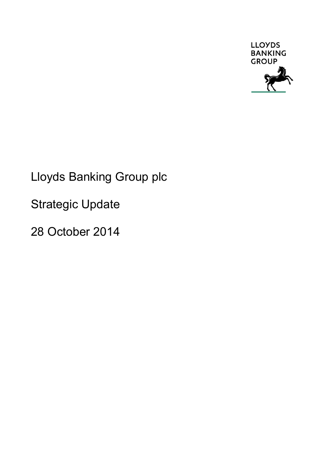

# Lloyds Banking Group plc

Strategic Update

28 October 2014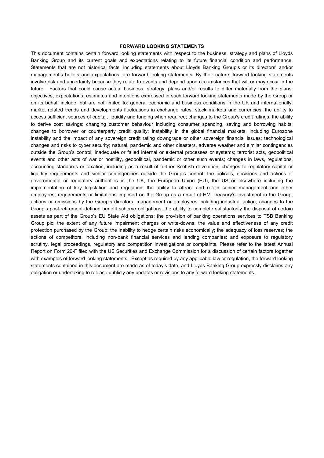#### **FORWARD LOOKING STATEMENTS**

This document contains certain forward looking statements with respect to the business, strategy and plans of Lloyds Banking Group and its current goals and expectations relating to its future financial condition and performance. Statements that are not historical facts, including statements about Lloyds Banking Group's or its directors' and/or management's beliefs and expectations, are forward looking statements. By their nature, forward looking statements involve risk and uncertainty because they relate to events and depend upon circumstances that will or may occur in the future. Factors that could cause actual business, strategy, plans and/or results to differ materially from the plans, objectives, expectations, estimates and intentions expressed in such forward looking statements made by the Group or on its behalf include, but are not limited to: general economic and business conditions in the UK and internationally; market related trends and developments fluctuations in exchange rates, stock markets and currencies; the ability to access sufficient sources of capital, liquidity and funding when required; changes to the Group's credit ratings; the ability to derive cost savings; changing customer behaviour including consumer spending, saving and borrowing habits; changes to borrower or counterparty credit quality; instability in the global financial markets, including Eurozone instability and the impact of any sovereign credit rating downgrade or other sovereign financial issues; technological changes and risks to cyber security; natural, pandemic and other disasters, adverse weather and similar contingencies outside the Group's control; inadequate or failed internal or external processes or systems; terrorist acts, geopolitical events and other acts of war or hostility, geopolitical, pandemic or other such events; changes in laws, regulations, accounting standards or taxation, including as a result of further Scottish devolution; changes to regulatory capital or liquidity requirements and similar contingencies outside the Group's control; the policies, decisions and actions of governmental or regulatory authorities in the UK, the European Union (EU), the US or elsewhere including the implementation of key legislation and regulation; the ability to attract and retain senior management and other employees; requirements or limitations imposed on the Group as a result of HM Treasury's investment in the Group; actions or omissions by the Group's directors, management or employees including industrial action; changes to the Group's post-retirement defined benefit scheme obligations; the ability to complete satisfactorily the disposal of certain assets as part of the Group's EU State Aid obligations; the provision of banking operations services to TSB Banking Group plc; the extent of any future impairment charges or write-downs; the value and effectiveness of any credit protection purchased by the Group; the inability to hedge certain risks economically; the adequacy of loss reserves; the actions of competitors, including non-bank financial services and lending companies; and exposure to regulatory scrutiny, legal proceedings, regulatory and competition investigations or complaints. Please refer to the latest Annual Report on Form 20-F filed with the US Securities and Exchange Commission for a discussion of certain factors together with examples of forward looking statements. Except as required by any applicable law or regulation, the forward looking statements contained in this document are made as of today's date, and Lloyds Banking Group expressly disclaims any obligation or undertaking to release publicly any updates or revisions to any forward looking statements.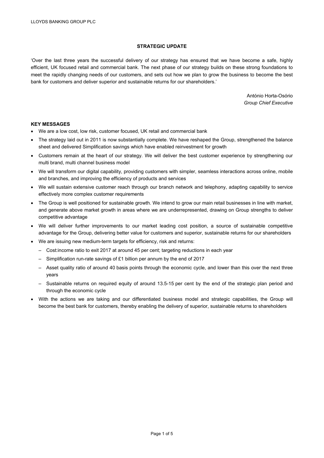# **STRATEGIC UPDATE**

'Over the last three years the successful delivery of our strategy has ensured that we have become a safe, highly efficient, UK focused retail and commercial bank. The next phase of our strategy builds on these strong foundations to meet the rapidly changing needs of our customers, and sets out how we plan to grow the business to become the best bank for customers and deliver superior and sustainable returns for our shareholders.'

> António Horta-Osório *Group Chief Executive*

# **KEY MESSAGES**

- We are a low cost, low risk, customer focused, UK retail and commercial bank
- The strategy laid out in 2011 is now substantially complete. We have reshaped the Group, strengthened the balance sheet and delivered Simplification savings which have enabled reinvestment for growth
- Customers remain at the heart of our strategy. We will deliver the best customer experience by strengthening our multi brand, multi channel business model
- We will transform our digital capability, providing customers with simpler, seamless interactions across online, mobile and branches, and improving the efficiency of products and services
- We will sustain extensive customer reach through our branch network and telephony, adapting capability to service effectively more complex customer requirements
- The Group is well positioned for sustainable growth. We intend to grow our main retail businesses in line with market, and generate above market growth in areas where we are underrepresented, drawing on Group strengths to deliver competitive advantage
- We will deliver further improvements to our market leading cost position, a source of sustainable competitive advantage for the Group, delivering better value for customers and superior, sustainable returns for our shareholders
- We are issuing new medium-term targets for efficiency, risk and returns:
	- Cost:income ratio to exit 2017 at around 45 per cent; targeting reductions in each year
	- Simplification run-rate savings of £1 billion per annum by the end of 2017
	- Asset quality ratio of around 40 basis points through the economic cycle, and lower than this over the next three years
	- Sustainable returns on required equity of around 13.5-15 per cent by the end of the strategic plan period and through the economic cycle
- With the actions we are taking and our differentiated business model and strategic capabilities, the Group will become the best bank for customers, thereby enabling the delivery of superior, sustainable returns to shareholders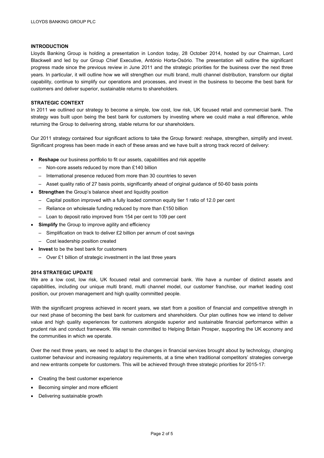# **INTRODUCTION**

Lloyds Banking Group is holding a presentation in London today, 28 October 2014, hosted by our Chairman, Lord Blackwell and led by our Group Chief Executive, António Horta-Osório. The presentation will outline the significant progress made since the previous review in June 2011 and the strategic priorities for the business over the next three years. In particular, it will outline how we will strengthen our multi brand, multi channel distribution, transform our digital capability, continue to simplify our operations and processes, and invest in the business to become the best bank for customers and deliver superior, sustainable returns to shareholders.

# **STRATEGIC CONTEXT**

In 2011 we outlined our strategy to become a simple, low cost, low risk, UK focused retail and commercial bank. The strategy was built upon being the best bank for customers by investing where we could make a real difference, while returning the Group to delivering strong, stable returns for our shareholders.

Our 2011 strategy contained four significant actions to take the Group forward: reshape, strengthen, simplify and invest. Significant progress has been made in each of these areas and we have built a strong track record of delivery:

- **Reshape** our business portfolio to fit our assets, capabilities and risk appetite
	- Non-core assets reduced by more than £140 billion
	- International presence reduced from more than 30 countries to seven
	- Asset quality ratio of 27 basis points, significantly ahead of original guidance of 50-60 basis points
- **Strengthen** the Group's balance sheet and liquidity position
	- Capital position improved with a fully loaded common equity tier 1 ratio of 12.0 per cent
	- Reliance on wholesale funding reduced by more than £150 billion
	- Loan to deposit ratio improved from 154 per cent to 109 per cent
- **Simplify** the Group to improve agility and efficiency
	- Simplification on track to deliver £2 billion per annum of cost savings
	- Cost leadership position created
- **Invest** to be the best bank for customers
	- Over £1 billion of strategic investment in the last three years

# **2014 STRATEGIC UPDATE**

We are a low cost, low risk, UK focused retail and commercial bank. We have a number of distinct assets and capabilities, including our unique multi brand, multi channel model, our customer franchise, our market leading cost position, our proven management and high quality committed people.

With the significant progress achieved in recent years, we start from a position of financial and competitive strength in our next phase of becoming the best bank for customers and shareholders. Our plan outlines how we intend to deliver value and high quality experiences for customers alongside superior and sustainable financial performance within a prudent risk and conduct framework. We remain committed to Helping Britain Prosper, supporting the UK economy and the communities in which we operate.

Over the next three years, we need to adapt to the changes in financial services brought about by technology, changing customer behaviour and increasing regulatory requirements, at a time when traditional competitors' strategies converge and new entrants compete for customers. This will be achieved through three strategic priorities for 2015-17:

- Creating the best customer experience
- Becoming simpler and more efficient
- Delivering sustainable growth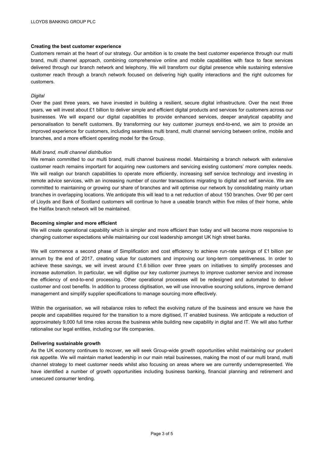## **Creating the best customer experience**

Customers remain at the heart of our strategy. Our ambition is to create the best customer experience through our multi brand, multi channel approach, combining comprehensive online and mobile capabilities with face to face services delivered through our branch network and telephony. We will transform our digital presence while sustaining extensive customer reach through a branch network focused on delivering high quality interactions and the right outcomes for customers.

#### *Digital*

Over the past three years, we have invested in building a resilient, secure digital infrastructure. Over the next three years, we will invest about £1 billion to deliver simple and efficient digital products and services for customers across our businesses. We will expand our digital capabilities to provide enhanced services, deeper analytical capability and personalisation to benefit customers. By transforming our key customer journeys end-to-end, we aim to provide an improved experience for customers, including seamless multi brand, multi channel servicing between online, mobile and branches, and a more efficient operating model for the Group.

#### *Multi brand, multi channel distribution*

We remain committed to our multi brand, multi channel business model. Maintaining a branch network with extensive customer reach remains important for acquiring new customers and servicing existing customers' more complex needs. We will realign our branch capabilities to operate more efficiently, increasing self service technology and investing in remote advice services, with an increasing number of counter transactions migrating to digital and self service. We are committed to maintaining or growing our share of branches and will optimise our network by consolidating mainly urban branches in overlapping locations. We anticipate this will lead to a net reduction of about 150 branches. Over 90 per cent of Lloyds and Bank of Scotland customers will continue to have a useable branch within five miles of their home, while the Halifax branch network will be maintained.

## **Becoming simpler and more efficient**

We will create operational capability which is simpler and more efficient than today and will become more responsive to changing customer expectations while maintaining our cost leadership amongst UK high street banks.

We will commence a second phase of Simplification and cost efficiency to achieve run-rate savings of £1 billion per annum by the end of 2017, creating value for customers and improving our long-term competitiveness. In order to achieve these savings, we will invest around £1.6 billion over three years on initiatives to simplify processes and increase automation. In particular, we will digitise our key customer journeys to improve customer service and increase the efficiency of end-to-end processing. Other operational processes will be redesigned and automated to deliver customer and cost benefits. In addition to process digitisation, we will use innovative sourcing solutions, improve demand management and simplify supplier specifications to manage sourcing more effectively.

Within the organisation, we will rebalance roles to reflect the evolving nature of the business and ensure we have the people and capabilities required for the transition to a more digitised, IT enabled business. We anticipate a reduction of approximately 9,000 full time roles across the business while building new capability in digital and IT. We will also further rationalise our legal entities, including our life companies.

#### **Delivering sustainable growth**

As the UK economy continues to recover, we will seek Group-wide growth opportunities whilst maintaining our prudent risk appetite. We will maintain market leadership in our main retail businesses, making the most of our multi brand, multi channel strategy to meet customer needs whilst also focusing on areas where we are currently underrepresented. We have identified a number of growth opportunities including business banking, financial planning and retirement and unsecured consumer lending.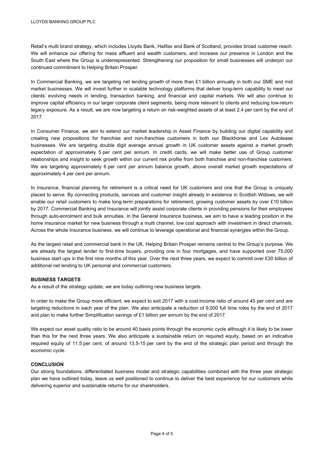Retail's multi brand strategy, which includes Lloyds Bank, Halifax and Bank of Scotland, provides broad customer reach. We will enhance our offering for mass affluent and wealth customers, and increase our presence in London and the South East where the Group is underrepresented. Strengthening our proposition for small businesses will underpin our continued commitment to Helping Britain Prosper.

In Commercial Banking, we are targeting net lending growth of more than £1 billion annually in both our SME and mid market businesses. We will invest further in scalable technology platforms that deliver long-term capability to meet our clients' evolving needs in lending, transaction banking, and financial and capital markets. We will also continue to improve capital efficiency in our larger corporate client segments, being more relevant to clients and reducing low-return legacy exposure. As a result, we are now targeting a return on risk-weighted assets of at least 2.4 per cent by the end of 2017.

In Consumer Finance, we aim to extend our market leadership in Asset Finance by building our digital capability and creating new propositions for franchise and non-franchise customers in both our Blackhorse and Lex Autolease businesses. We are targeting double digit average annual growth in UK customer assets against a market growth expectation of approximately 5 per cent per annum. In credit cards, we will make better use of Group customer relationships and insight to seek growth within our current risk profile from both franchise and non-franchise customers. We are targeting approximately 6 per cent per annum balance growth, above overall market growth expectations of approximately 4 per cent per annum.

In Insurance, financial planning for retirement is a critical need for UK customers and one that the Group is uniquely placed to serve. By connecting products, services and customer insight already in existence in Scottish Widows, we will enable our retail customers to make long-term preparations for retirement, growing customer assets by over £10 billion by 2017. Commercial Banking and Insurance will jointly assist corporate clients in providing pensions for their employees through auto-enrolment and bulk annuities. In the General Insurance business, we aim to have a leading position in the home insurance market for new business through a multi channel, low cost approach with investment in direct channels. Across the whole Insurance business, we will continue to leverage operational and financial synergies within the Group.

As the largest retail and commercial bank in the UK, Helping Britain Prosper remains central to the Group's purpose. We are already the largest lender to first-time buyers, providing one in four mortgages, and have supported over 75,000 business start ups in the first nine months of this year. Over the next three years, we expect to commit over £30 billion of additional net lending to UK personal and commercial customers.

#### **BUSINESS TARGETS**

As a result of the strategy update, we are today outlining new business targets.

In order to make the Group more efficient, we expect to exit 2017 with a cost:income ratio of around 45 per cent and are targeting reductions in each year of the plan. We also anticipate a reduction of 9,000 full time roles by the end of 2017 and plan to make further Simplification savings of £1 billion per annum by the end of 2017.

We expect our asset quality ratio to be around 40 basis points through the economic cycle although it is likely to be lower than this for the next three years. We also anticipate a sustainable return on required equity, based on an indicative required equity of 11.5 per cent, of around 13.5-15 per cent by the end of the strategic plan period and through the economic cycle.

#### **CONCLUSION**

Our strong foundations, differentiated business model and strategic capabilities combined with the three year strategic plan we have outlined today, leave us well positioned to continue to deliver the best experience for our customers while delivering superior and sustainable returns for our shareholders.